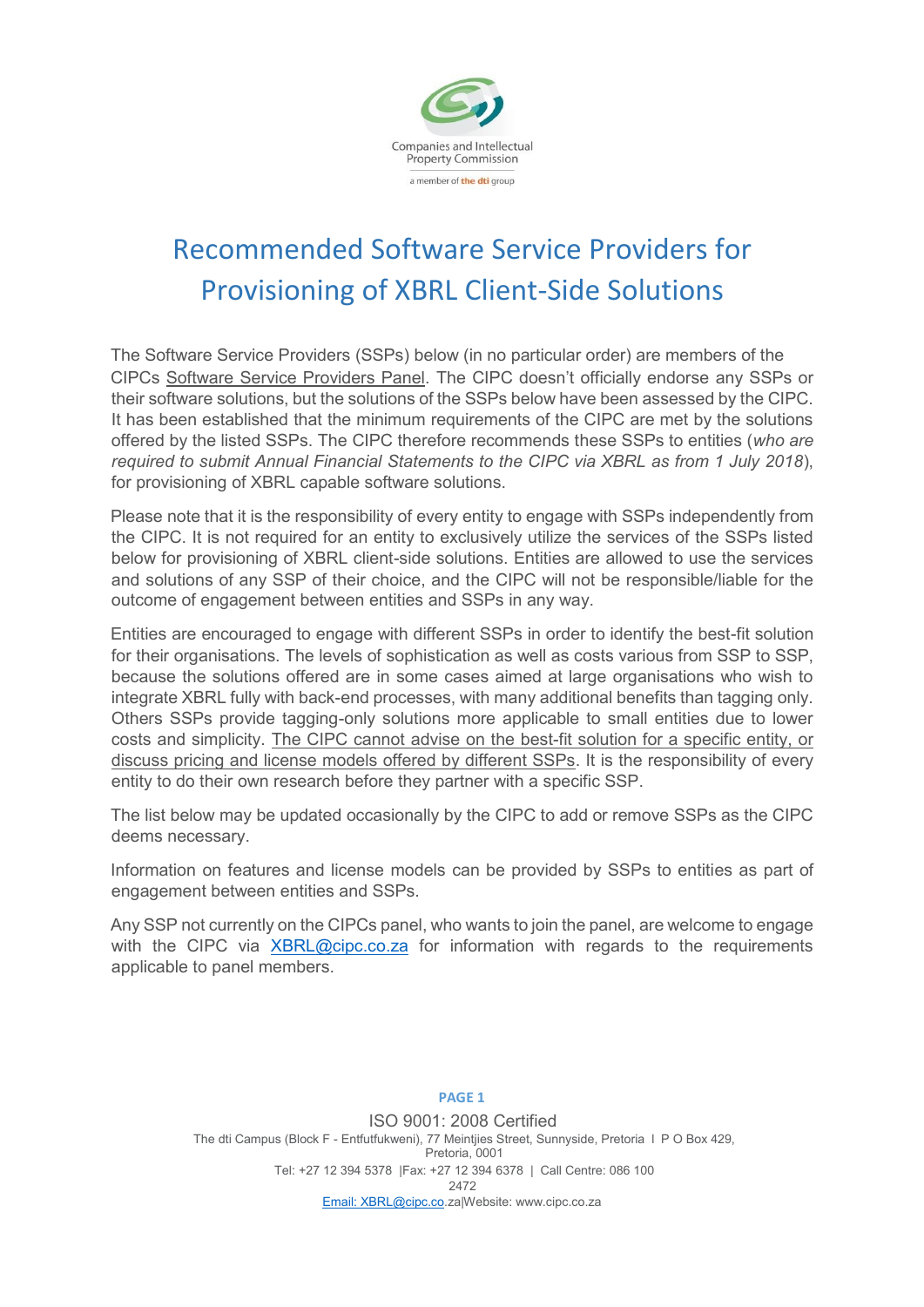

## Recommended Software Service Providers for Provisioning of XBRL Client-Side Solutions

The Software Service Providers (SSPs) below (in no particular order) are members of the CIPCs Software Service Providers Panel. The CIPC doesn't officially endorse any SSPs or their software solutions, but the solutions of the SSPs below have been assessed by the CIPC. It has been established that the minimum requirements of the CIPC are met by the solutions offered by the listed SSPs. The CIPC therefore recommends these SSPs to entities (*who are required to submit Annual Financial Statements to the CIPC via XBRL as from 1 July 2018*), for provisioning of XBRL capable software solutions.

Please note that it is the responsibility of every entity to engage with SSPs independently from the CIPC. It is not required for an entity to exclusively utilize the services of the SSPs listed below for provisioning of XBRL client-side solutions. Entities are allowed to use the services and solutions of any SSP of their choice, and the CIPC will not be responsible/liable for the outcome of engagement between entities and SSPs in any way.

Entities are encouraged to engage with different SSPs in order to identify the best-fit solution for their organisations. The levels of sophistication as well as costs various from SSP to SSP, because the solutions offered are in some cases aimed at large organisations who wish to integrate XBRL fully with back-end processes, with many additional benefits than tagging only. Others SSPs provide tagging-only solutions more applicable to small entities due to lower costs and simplicity. The CIPC cannot advise on the best-fit solution for a specific entity, or discuss pricing and license models offered by different SSPs. It is the responsibility of every entity to do their own research before they partner with a specific SSP.

The list below may be updated occasionally by the CIPC to add or remove SSPs as the CIPC deems necessary.

Information on features and license models can be provided by SSPs to entities as part of engagement between entities and SSPs.

Any SSP not currently on the CIPCs panel, who wants to join the panel, are welcome to engage with the CIPC via XBRL@cipc.co.za for information with regards to the requirements applicable to panel members.

> **PAGE 1** ISO 9001: 2008 Certified The dti Campus (Block F - Entfutfukweni), 77 Meintjies Street, Sunnyside, Pretoria l P O Box 429, Pretoria, 0001 Tel: +27 12 394 5378 |Fax: +27 12 394 6378 | Call Centre: 086 100 2472 Email: XBRL@cipc.co.za|Website: www.cipc.co.za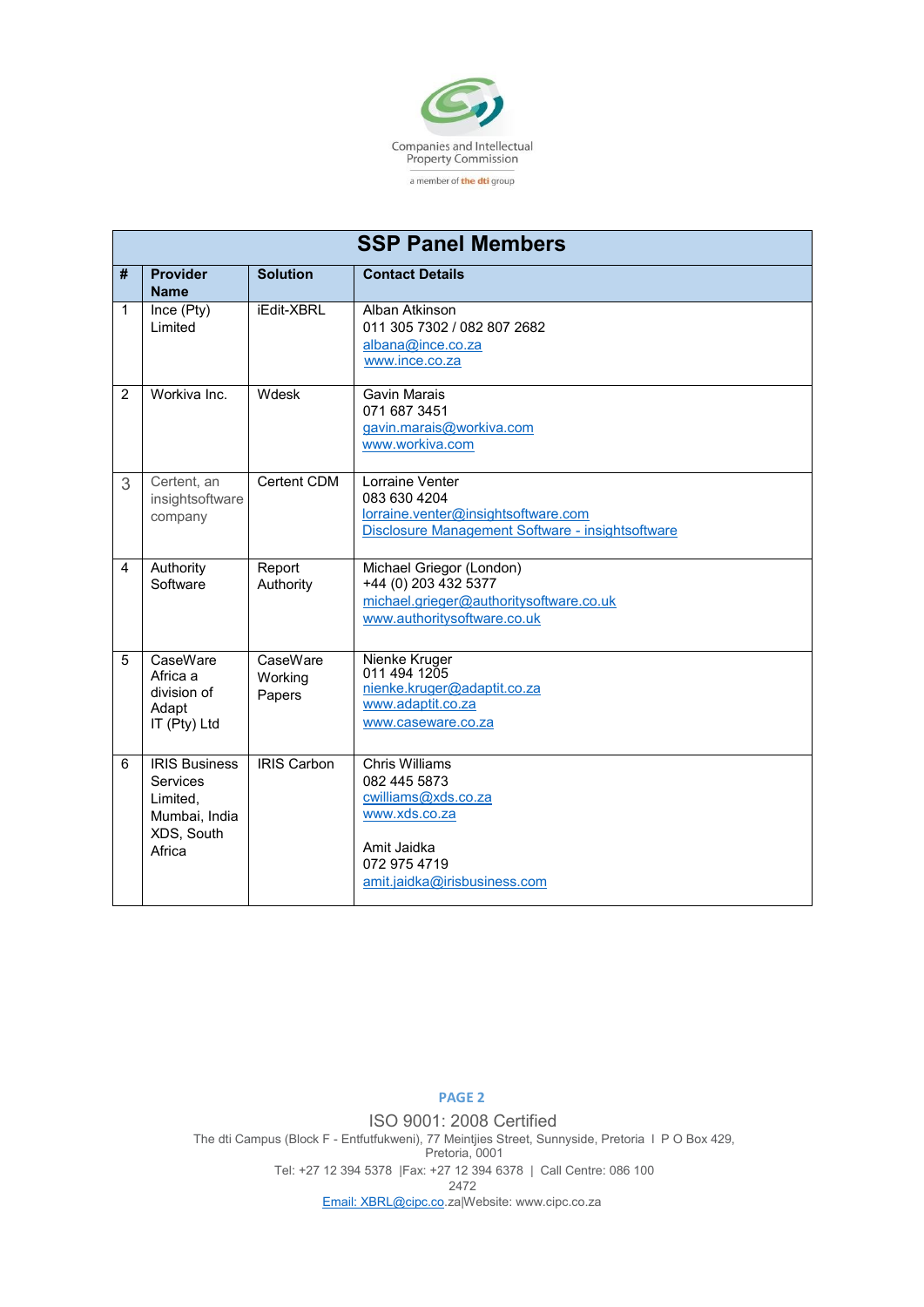

| <b>SSP Panel Members</b> |                                                                                              |                               |                                                                                                                                              |  |  |
|--------------------------|----------------------------------------------------------------------------------------------|-------------------------------|----------------------------------------------------------------------------------------------------------------------------------------------|--|--|
| #                        | <b>Provider</b><br><b>Name</b>                                                               | <b>Solution</b>               | <b>Contact Details</b>                                                                                                                       |  |  |
| $\mathbf{1}$             | Ince (Pty)<br>Limited                                                                        | iEdit-XBRL                    | Alban Atkinson<br>011 305 7302 / 082 807 2682<br>albana@ince.co.za<br>www.ince.co.za                                                         |  |  |
| $\overline{2}$           | Workiva Inc.                                                                                 | Wdesk                         | <b>Gavin Marais</b><br>071 687 3451<br>gavin.marais@workiva.com<br>www.workiva.com                                                           |  |  |
| 3                        | Certent, an<br>insightsoftware<br>company                                                    | Certent CDM                   | Lorraine Venter<br>083 630 4204<br>lorraine.venter@insightsoftware.com<br>Disclosure Management Software - insightsoftware                   |  |  |
| 4                        | Authority<br>Software                                                                        | Report<br>Authority           | Michael Griegor (London)<br>+44 (0) 203 432 5377<br>michael.grieger@authoritysoftware.co.uk<br>www.authoritysoftware.co.uk                   |  |  |
| 5                        | CaseWare<br>Africa a<br>division of<br>Adapt<br>IT (Pty) Ltd                                 | CaseWare<br>Working<br>Papers | Nienke Kruger<br>011 494 1205<br>nienke.kruger@adaptit.co.za<br>www.adaptit.co.za<br>www.caseware.co.za                                      |  |  |
| 6                        | <b>IRIS Business</b><br><b>Services</b><br>Limited,<br>Mumbai, India<br>XDS, South<br>Africa | <b>IRIS Carbon</b>            | <b>Chris Williams</b><br>082 445 5873<br>cwilliams@xds.co.za<br>www.xds.co.za<br>Amit Jaidka<br>072 975 4719<br>amit.jaidka@irisbusiness.com |  |  |

ISO 9001: 2008 Certified The dti Campus (Block F - Entfutfukweni), 77 Meintjies Street, Sunnyside, Pretoria l P O Box 429, Pretoria, 0001 Tel: +27 12 394 5378 |Fax: +27 12 394 6378 | Call Centre: 086 100 2472 Email: XBRL@cipc.co.za|Website: www.cipc.co.za

## **PAGE 2**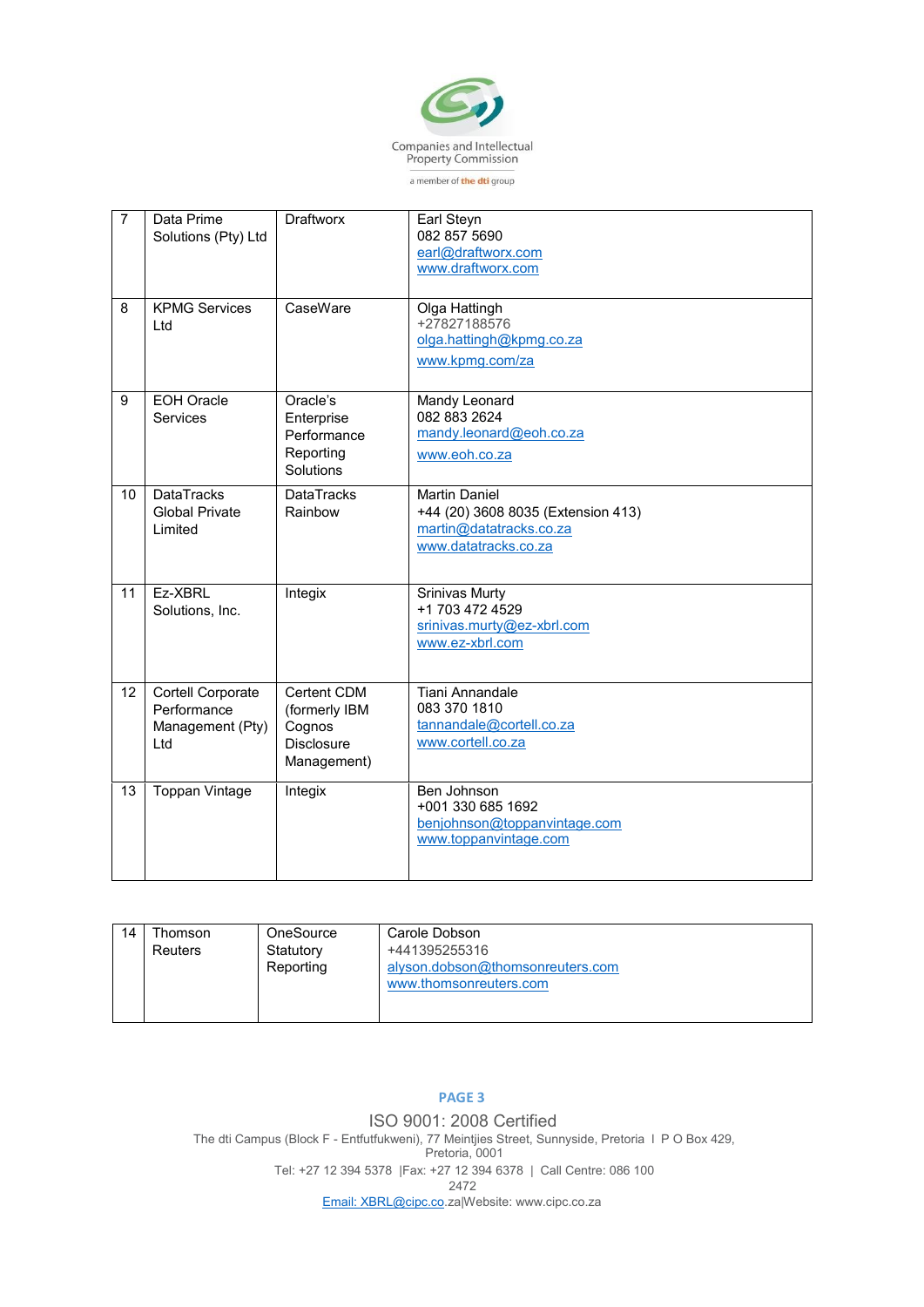

| $\overline{7}$ | Data Prime<br>Solutions (Pty) Ltd                            | <b>Draftworx</b>                                                           | Earl Steyn<br>082 857 5690<br>earl@draftworx.com<br>www.draftworx.com                                         |
|----------------|--------------------------------------------------------------|----------------------------------------------------------------------------|---------------------------------------------------------------------------------------------------------------|
| 8              | <b>KPMG Services</b><br>l td                                 | CaseWare                                                                   | Olga Hattingh<br>+27827188576<br>olga.hattingh@kpmg.co.za<br>www.kpmg.com/za                                  |
| 9              | <b>EOH Oracle</b><br><b>Services</b>                         | Oracle's<br>Enterprise<br>Performance<br>Reporting<br>Solutions            | Mandy Leonard<br>082 883 2624<br>mandy.leonard@eoh.co.za<br>www.eoh.co.za                                     |
| 10             | <b>DataTracks</b><br><b>Global Private</b><br>Limited        | <b>DataTracks</b><br>Rainbow                                               | <b>Martin Daniel</b><br>+44 (20) 3608 8035 (Extension 413)<br>martin@datatracks.co.za<br>www.datatracks.co.za |
| 11             | Ez-XBRL<br>Solutions, Inc.                                   | Integix                                                                    | <b>Srinivas Murty</b><br>+1 703 472 4529<br>srinivas.murty@ez-xbrl.com<br>www.ez-xbrl.com                     |
| 12             | Cortell Corporate<br>Performance<br>Management (Pty)<br>l td | Certent CDM<br>(formerly IBM<br>Cognos<br><b>Disclosure</b><br>Management) | Tiani Annandale<br>083 370 1810<br>tannandale@cortell.co.za<br>www.cortell.co.za                              |
| 13             | <b>Toppan Vintage</b>                                        | Integix                                                                    | Ben Johnson<br>+001 330 685 1692<br>benjohnson@toppanvintage.com<br>www.toppanvintage.com                     |

| 14 | [homson]<br><b>Reuters</b> | OneSource<br>Statutory<br>Reporting | Carole Dobson<br>+441395255316<br>alyson.dobson@thomsonreuters.com<br>www.thomsonreuters.com |
|----|----------------------------|-------------------------------------|----------------------------------------------------------------------------------------------|
|----|----------------------------|-------------------------------------|----------------------------------------------------------------------------------------------|

## **PAGE 3**

ISO 9001: 2008 Certified The dti Campus (Block F - Entfutfukweni), 77 Meintjies Street, Sunnyside, Pretoria l P O Box 429, Pretoria, 0001 Tel: +27 12 394 5378 |Fax: +27 12 394 6378 | Call Centre: 086 100 2472 Email: XBRL@cipc.co.za|Website: www.cipc.co.za